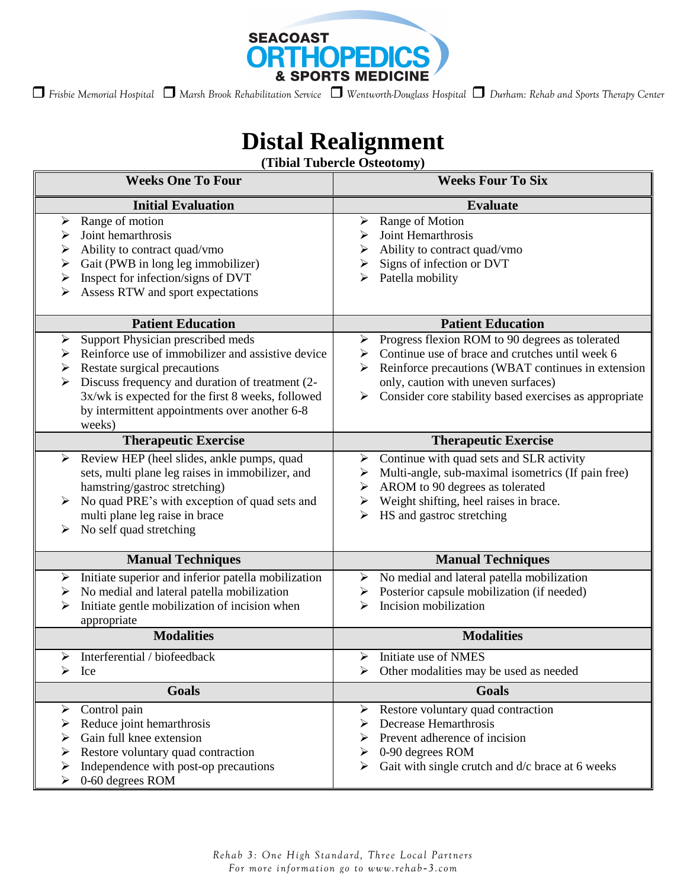

 *Frisbie Memorial Hospital Marsh Brook Rehabilitation Service Wentworth-Douglass Hospital Durham: Rehab and Sports Therapy Center* 

## **Distal Realignment**

**(Tibial Tubercle Osteotomy)**

| <b>Weeks One To Four</b>                                                                                                                                                                                                                                                                                      | <b>Weeks Four To Six</b>                                                                                                                                                                                                                                                      |
|---------------------------------------------------------------------------------------------------------------------------------------------------------------------------------------------------------------------------------------------------------------------------------------------------------------|-------------------------------------------------------------------------------------------------------------------------------------------------------------------------------------------------------------------------------------------------------------------------------|
| <b>Initial Evaluation</b>                                                                                                                                                                                                                                                                                     | <b>Evaluate</b>                                                                                                                                                                                                                                                               |
| Range of motion<br>➤<br>Joint hemarthrosis<br>➤<br>Ability to contract quad/vmo<br>≻<br>Gait (PWB in long leg immobilizer)<br>≻<br>Inspect for infection/signs of DVT<br>$\blacktriangleright$<br>Assess RTW and sport expectations<br>➤                                                                      | Range of Motion<br>➤<br>Joint Hemarthrosis<br>⋗<br>Ability to contract quad/vmo<br>➤<br>Signs of infection or DVT<br>➤<br>Patella mobility<br>⋗                                                                                                                               |
| <b>Patient Education</b>                                                                                                                                                                                                                                                                                      | <b>Patient Education</b>                                                                                                                                                                                                                                                      |
| Support Physician prescribed meds<br>➤<br>Reinforce use of immobilizer and assistive device<br>➤<br>Restate surgical precautions<br>➤<br>Discuss frequency and duration of treatment (2-<br>➤<br>3x/wk is expected for the first 8 weeks, followed<br>by intermittent appointments over another 6-8<br>weeks) | Progress flexion ROM to 90 degrees as tolerated<br>➤<br>Continue use of brace and crutches until week 6<br>➤<br>Reinforce precautions (WBAT continues in extension<br>⋗<br>only, caution with uneven surfaces)<br>Consider core stability based exercises as appropriate<br>➤ |
| <b>Therapeutic Exercise</b>                                                                                                                                                                                                                                                                                   | <b>Therapeutic Exercise</b>                                                                                                                                                                                                                                                   |
| Review HEP (heel slides, ankle pumps, quad<br>➤<br>sets, multi plane leg raises in immobilizer, and<br>hamstring/gastroc stretching)<br>No quad PRE's with exception of quad sets and<br>multi plane leg raise in brace<br>No self quad stretching<br>➤                                                       | Continue with quad sets and SLR activity<br>➤<br>Multi-angle, sub-maximal isometrics (If pain free)<br>➤<br>AROM to 90 degrees as tolerated<br>➤<br>Weight shifting, heel raises in brace.<br>➤<br>HS and gastroc stretching<br>⋗                                             |
| <b>Manual Techniques</b>                                                                                                                                                                                                                                                                                      | <b>Manual Techniques</b>                                                                                                                                                                                                                                                      |
| Initiate superior and inferior patella mobilization<br>➤<br>No medial and lateral patella mobilization<br>➤<br>Initiate gentle mobilization of incision when<br>➤<br>appropriate                                                                                                                              | No medial and lateral patella mobilization<br>≻<br>Posterior capsule mobilization (if needed)<br>➤<br>Incision mobilization<br>⋗                                                                                                                                              |
| <b>Modalities</b>                                                                                                                                                                                                                                                                                             | <b>Modalities</b>                                                                                                                                                                                                                                                             |
| Interferential / biofeedback<br>➤<br>$\triangleright$ Ice                                                                                                                                                                                                                                                     | Initiate use of NMES<br>➤<br>$\triangleright$ Other modalities may be used as needed                                                                                                                                                                                          |
| Goals                                                                                                                                                                                                                                                                                                         | Goals                                                                                                                                                                                                                                                                         |
| Control pain<br>➤<br>Reduce joint hemarthrosis<br>⋗<br>Gain full knee extension<br>⋗<br>Restore voluntary quad contraction<br>Independence with post-op precautions<br>➤<br>0-60 degrees ROM<br>⋗                                                                                                             | Restore voluntary quad contraction<br>➤<br>Decrease Hemarthrosis<br>Prevent adherence of incision<br>0-90 degrees ROM<br>Gait with single crutch and d/c brace at 6 weeks<br>➤                                                                                                |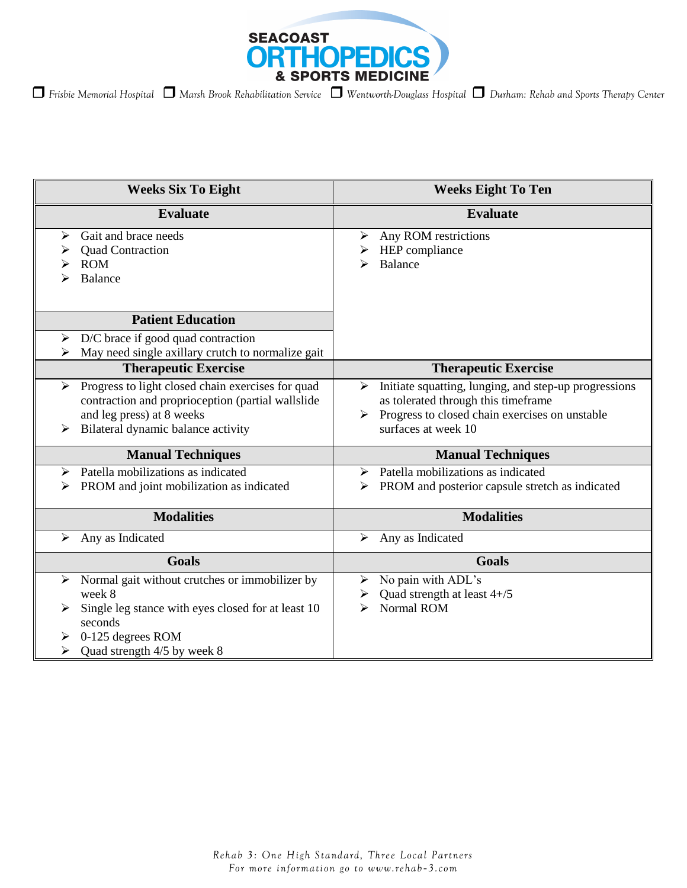

| <b>Weeks Six To Eight</b>                                                                                                                                                               | <b>Weeks Eight To Ten</b>                                                                                                                                                       |
|-----------------------------------------------------------------------------------------------------------------------------------------------------------------------------------------|---------------------------------------------------------------------------------------------------------------------------------------------------------------------------------|
| <b>Evaluate</b>                                                                                                                                                                         | <b>Evaluate</b>                                                                                                                                                                 |
| Gait and brace needs<br>⋗<br><b>Quad Contraction</b>                                                                                                                                    | Any ROM restrictions<br>➤<br>HEP compliance                                                                                                                                     |
| <b>ROM</b><br>Balance                                                                                                                                                                   | <b>Balance</b><br>⋗                                                                                                                                                             |
| <b>Patient Education</b>                                                                                                                                                                |                                                                                                                                                                                 |
| $\triangleright$ D/C brace if good quad contraction<br>$\triangleright$ May need single axillary crutch to normalize gait                                                               |                                                                                                                                                                                 |
| <b>Therapeutic Exercise</b>                                                                                                                                                             | <b>Therapeutic Exercise</b>                                                                                                                                                     |
| Progress to light closed chain exercises for quad<br>➤<br>contraction and proprioception (partial wallslide<br>and leg press) at 8 weeks<br>Bilateral dynamic balance activity          | Initiate squatting, lunging, and step-up progressions<br>➤<br>as tolerated through this timeframe<br>Progress to closed chain exercises on unstable<br>➤<br>surfaces at week 10 |
| <b>Manual Techniques</b>                                                                                                                                                                | <b>Manual Techniques</b>                                                                                                                                                        |
| Patella mobilizations as indicated<br>➤<br>PROM and joint mobilization as indicated                                                                                                     | Patella mobilizations as indicated<br>⋗<br>PROM and posterior capsule stretch as indicated<br>➤                                                                                 |
| <b>Modalities</b>                                                                                                                                                                       | <b>Modalities</b>                                                                                                                                                               |
| Any as Indicated<br>➤                                                                                                                                                                   | Any as Indicated<br>➤                                                                                                                                                           |
| <b>Goals</b>                                                                                                                                                                            | Goals                                                                                                                                                                           |
| Normal gait without crutches or immobilizer by<br>➤<br>week 8<br>Single leg stance with eyes closed for at least 10<br>seconds<br>0-125 degrees ROM<br>Quad strength 4/5 by week 8<br>⋗ | No pain with ADL's<br>➤<br>Quad strength at least 4+/5<br>➤<br>Normal ROM<br>➢                                                                                                  |